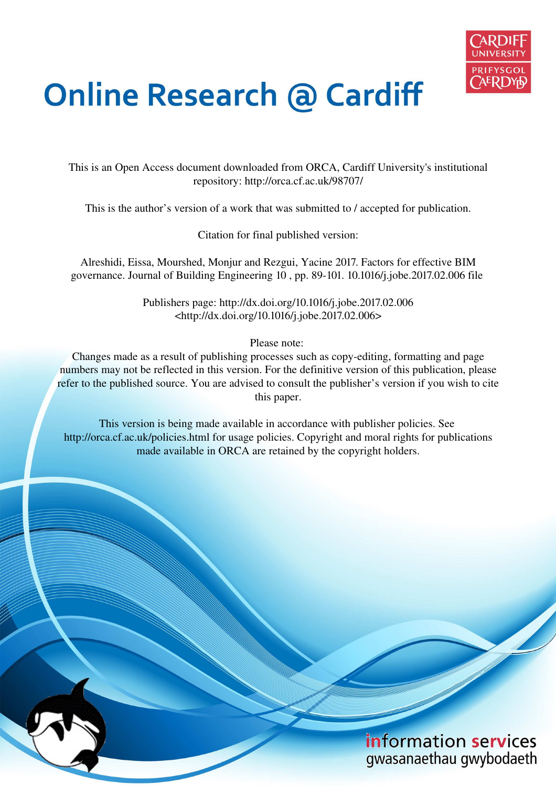

# **Online Research @ Cardiff**

This is an Open Access document downloaded from ORCA, Cardiff University's institutional repository: http://orca.cf.ac.uk/98707/

This is the author's version of a work that was submitted to / accepted for publication.

Citation for final published version:

Alreshidi, Eissa, Mourshed, Monjur and Rezgui, Yacine 2017. Factors for effective BIM governance. Journal of Building Engineering 10 , pp. 89-101. 10.1016/j.jobe.2017.02.006 file

> Publishers page: http://dx.doi.org/10.1016/j.jobe.2017.02.006 <http://dx.doi.org/10.1016/j.jobe.2017.02.006>

> > Please note:

Changes made as a result of publishing processes such as copy-editing, formatting and page numbers may not be reflected in this version. For the definitive version of this publication, please refer to the published source. You are advised to consult the publisher's version if you wish to cite this paper.

This version is being made available in accordance with publisher policies. See http://orca.cf.ac.uk/policies.html for usage policies. Copyright and moral rights for publications made available in ORCA are retained by the copyright holders.

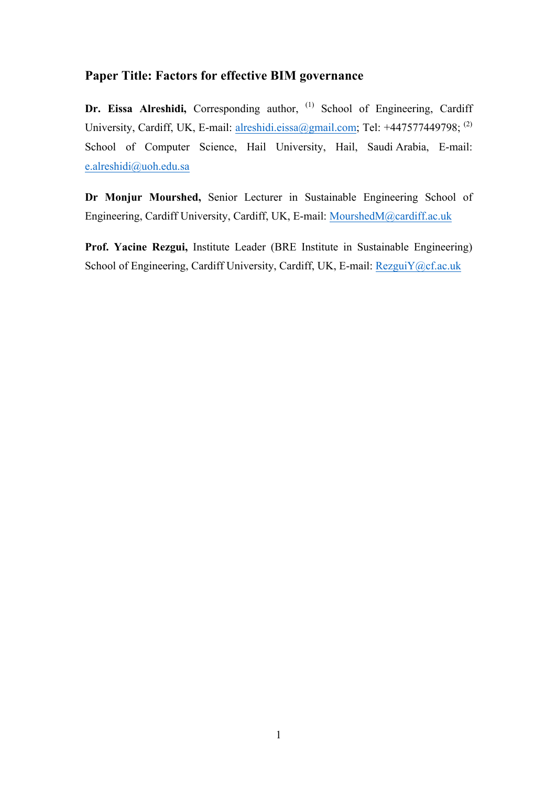## **Paper Title: Factors for effective BIM governance**

**Dr. Eissa Alreshidi,** Corresponding author, <sup>(1)</sup> School of Engineering, Cardiff University, Cardiff, UK, E-mail: alreshidi.eissa@gmail.com; Tel: +447577449798; <sup>(2)</sup> School of Computer Science, Hail University, Hail, Saudi Arabia, E-mail: e.alreshidi@uoh.edu.sa

**Dr Monjur Mourshed,** Senior Lecturer in Sustainable Engineering School of Engineering, Cardiff University, Cardiff, UK, E-mail: MourshedM@cardiff.ac.uk

**Prof. Yacine Rezgui,** Institute Leader (BRE Institute in Sustainable Engineering) School of Engineering, Cardiff University, Cardiff, UK, E-mail: RezguiY@cf.ac.uk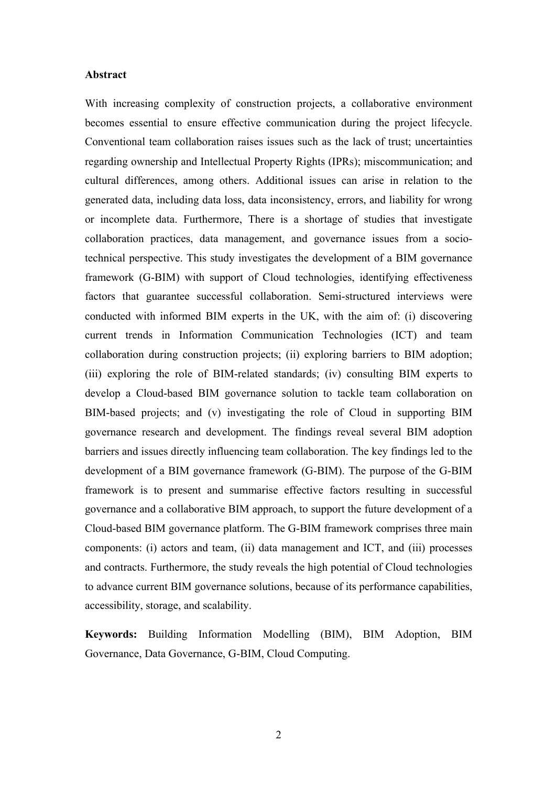#### **Abstract**

With increasing complexity of construction projects, a collaborative environment becomes essential to ensure effective communication during the project lifecycle. Conventional team collaboration raises issues such as the lack of trust; uncertainties regarding ownership and Intellectual Property Rights (IPRs); miscommunication; and cultural differences, among others. Additional issues can arise in relation to the generated data, including data loss, data inconsistency, errors, and liability for wrong or incomplete data. Furthermore, There is a shortage of studies that investigate collaboration practices, data management, and governance issues from a sociotechnical perspective. This study investigates the development of a BIM governance framework (G-BIM) with support of Cloud technologies, identifying effectiveness factors that guarantee successful collaboration. Semi-structured interviews were conducted with informed BIM experts in the UK, with the aim of: (i) discovering current trends in Information Communication Technologies (ICT) and team collaboration during construction projects; (ii) exploring barriers to BIM adoption; (iii) exploring the role of BIM-related standards; (iv) consulting BIM experts to develop a Cloud-based BIM governance solution to tackle team collaboration on BIM-based projects; and (v) investigating the role of Cloud in supporting BIM governance research and development. The findings reveal several BIM adoption barriers and issues directly influencing team collaboration. The key findings led to the development of a BIM governance framework (G-BIM). The purpose of the G-BIM framework is to present and summarise effective factors resulting in successful governance and a collaborative BIM approach, to support the future development of a Cloud-based BIM governance platform. The G-BIM framework comprises three main components: (i) actors and team, (ii) data management and ICT, and (iii) processes and contracts. Furthermore, the study reveals the high potential of Cloud technologies to advance current BIM governance solutions, because of its performance capabilities, accessibility, storage, and scalability.

**Keywords:** Building Information Modelling (BIM), BIM Adoption, BIM Governance, Data Governance, G-BIM, Cloud Computing.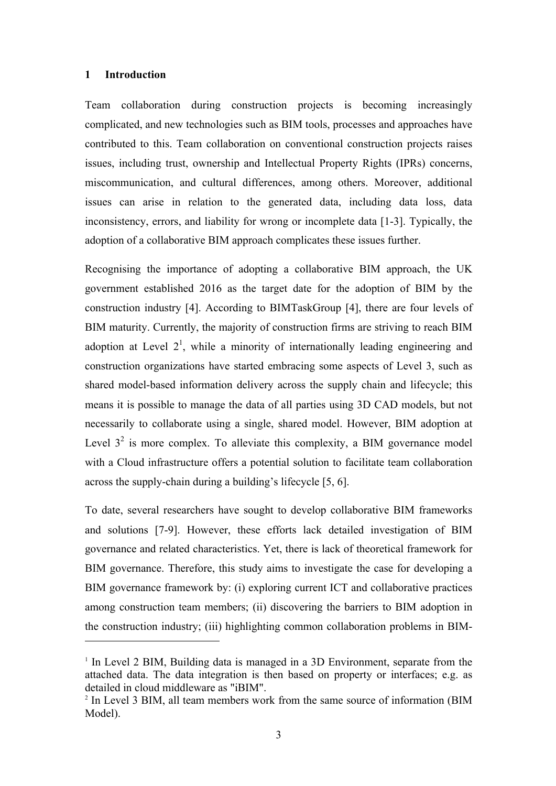#### **1 Introduction**

 $\overline{a}$ 

Team collaboration during construction projects is becoming increasingly complicated, and new technologies such as BIM tools, processes and approaches have contributed to this. Team collaboration on conventional construction projects raises issues, including trust, ownership and Intellectual Property Rights (IPRs) concerns, miscommunication, and cultural differences, among others. Moreover, additional issues can arise in relation to the generated data, including data loss, data inconsistency, errors, and liability for wrong or incomplete data [1-3]. Typically, the adoption of a collaborative BIM approach complicates these issues further.

Recognising the importance of adopting a collaborative BIM approach, the UK government established 2016 as the target date for the adoption of BIM by the construction industry [4]. According to BIMTaskGroup [4], there are four levels of BIM maturity. Currently, the majority of construction firms are striving to reach BIM adoption at Level  $2^1$ , while a minority of internationally leading engineering and construction organizations have started embracing some aspects of Level 3, such as shared model-based information delivery across the supply chain and lifecycle; this means it is possible to manage the data of all parties using 3D CAD models, but not necessarily to collaborate using a single, shared model. However, BIM adoption at Level  $3<sup>2</sup>$  is more complex. To alleviate this complexity, a BIM governance model with a Cloud infrastructure offers a potential solution to facilitate team collaboration across the supply-chain during a building's lifecycle [5, 6].

To date, several researchers have sought to develop collaborative BIM frameworks and solutions [7-9]. However, these efforts lack detailed investigation of BIM governance and related characteristics. Yet, there is lack of theoretical framework for BIM governance. Therefore, this study aims to investigate the case for developing a BIM governance framework by: (i) exploring current ICT and collaborative practices among construction team members; (ii) discovering the barriers to BIM adoption in the construction industry; (iii) highlighting common collaboration problems in BIM-

<sup>&</sup>lt;sup>1</sup> In Level 2 BIM, Building data is managed in a 3D Environment, separate from the attached data. The data integration is then based on property or interfaces; e.g. as detailed in cloud middleware as "iBIM".

<sup>&</sup>lt;sup>2</sup> In Level 3 BIM, all team members work from the same source of information (BIM Model).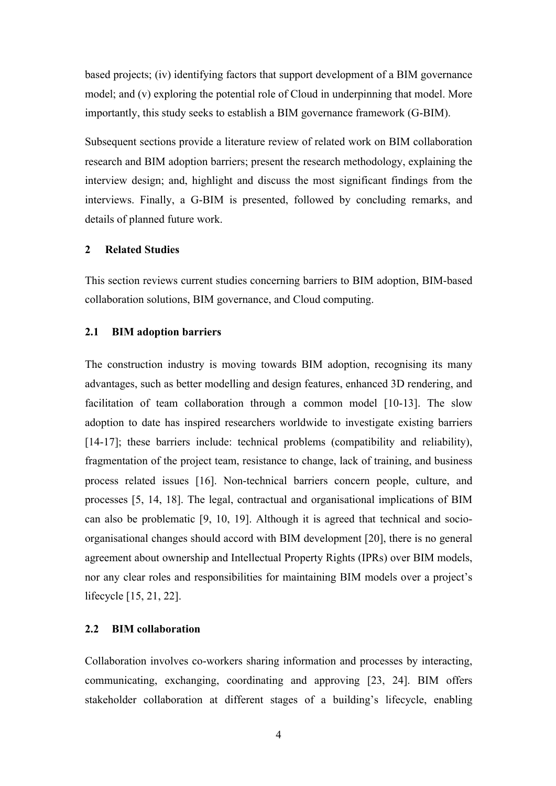based projects; (iv) identifying factors that support development of a BIM governance model; and (v) exploring the potential role of Cloud in underpinning that model. More importantly, this study seeks to establish a BIM governance framework (G-BIM).

Subsequent sections provide a literature review of related work on BIM collaboration research and BIM adoption barriers; present the research methodology, explaining the interview design; and, highlight and discuss the most significant findings from the interviews. Finally, a G-BIM is presented, followed by concluding remarks, and details of planned future work.

#### **2 Related Studies**

This section reviews current studies concerning barriers to BIM adoption, BIM-based collaboration solutions, BIM governance, and Cloud computing.

#### **2.1 BIM adoption barriers**

The construction industry is moving towards BIM adoption, recognising its many advantages, such as better modelling and design features, enhanced 3D rendering, and facilitation of team collaboration through a common model [10-13]. The slow adoption to date has inspired researchers worldwide to investigate existing barriers [14-17]; these barriers include: technical problems (compatibility and reliability), fragmentation of the project team, resistance to change, lack of training, and business process related issues [16]. Non-technical barriers concern people, culture, and processes [5, 14, 18]. The legal, contractual and organisational implications of BIM can also be problematic [9, 10, 19]. Although it is agreed that technical and socioorganisational changes should accord with BIM development [20], there is no general agreement about ownership and Intellectual Property Rights (IPRs) over BIM models, nor any clear roles and responsibilities for maintaining BIM models over a project's lifecycle [15, 21, 22].

#### **2.2 BIM collaboration**

Collaboration involves co-workers sharing information and processes by interacting, communicating, exchanging, coordinating and approving [23, 24]. BIM offers stakeholder collaboration at different stages of a building's lifecycle, enabling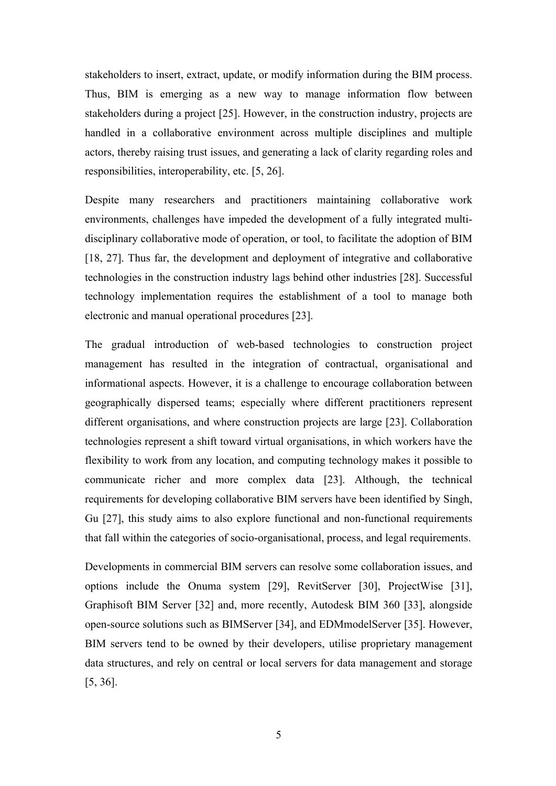stakeholders to insert, extract, update, or modify information during the BIM process. Thus, BIM is emerging as a new way to manage information flow between stakeholders during a project [25]. However, in the construction industry, projects are handled in a collaborative environment across multiple disciplines and multiple actors, thereby raising trust issues, and generating a lack of clarity regarding roles and responsibilities, interoperability, etc. [5, 26].

Despite many researchers and practitioners maintaining collaborative work environments, challenges have impeded the development of a fully integrated multidisciplinary collaborative mode of operation, or tool, to facilitate the adoption of BIM [18, 27]. Thus far, the development and deployment of integrative and collaborative technologies in the construction industry lags behind other industries [28]. Successful technology implementation requires the establishment of a tool to manage both electronic and manual operational procedures [23].

The gradual introduction of web-based technologies to construction project management has resulted in the integration of contractual, organisational and informational aspects. However, it is a challenge to encourage collaboration between geographically dispersed teams; especially where different practitioners represent different organisations, and where construction projects are large [23]. Collaboration technologies represent a shift toward virtual organisations, in which workers have the flexibility to work from any location, and computing technology makes it possible to communicate richer and more complex data [23]. Although, the technical requirements for developing collaborative BIM servers have been identified by Singh, Gu [27], this study aims to also explore functional and non-functional requirements that fall within the categories of socio-organisational, process, and legal requirements.

Developments in commercial BIM servers can resolve some collaboration issues, and options include the Onuma system [29], RevitServer [30], ProjectWise [31], Graphisoft BIM Server [32] and, more recently, Autodesk BIM 360 [33], alongside open-source solutions such as BIMServer [34], and EDMmodelServer [35]. However, BIM servers tend to be owned by their developers, utilise proprietary management data structures, and rely on central or local servers for data management and storage [5, 36].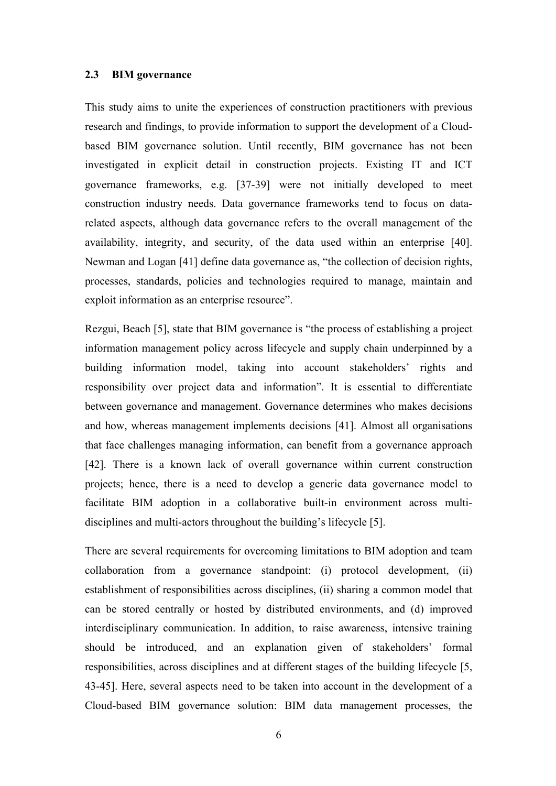#### **2.3 BIM governance**

This study aims to unite the experiences of construction practitioners with previous research and findings, to provide information to support the development of a Cloudbased BIM governance solution. Until recently, BIM governance has not been investigated in explicit detail in construction projects. Existing IT and ICT governance frameworks, e.g. [37-39] were not initially developed to meet construction industry needs. Data governance frameworks tend to focus on datarelated aspects, although data governance refers to the overall management of the availability, integrity, and security, of the data used within an enterprise [40]. Newman and Logan [41] define data governance as, "the collection of decision rights, processes, standards, policies and technologies required to manage, maintain and exploit information as an enterprise resource".

Rezgui, Beach [5], state that BIM governance is "the process of establishing a project information management policy across lifecycle and supply chain underpinned by a building information model, taking into account stakeholders' rights and responsibility over project data and information". It is essential to differentiate between governance and management. Governance determines who makes decisions and how, whereas management implements decisions [41]. Almost all organisations that face challenges managing information, can benefit from a governance approach [42]. There is a known lack of overall governance within current construction projects; hence, there is a need to develop a generic data governance model to facilitate BIM adoption in a collaborative built-in environment across multidisciplines and multi-actors throughout the building's lifecycle [5].

There are several requirements for overcoming limitations to BIM adoption and team collaboration from a governance standpoint: (i) protocol development, (ii) establishment of responsibilities across disciplines, (ii) sharing a common model that can be stored centrally or hosted by distributed environments, and (d) improved interdisciplinary communication. In addition, to raise awareness, intensive training should be introduced, and an explanation given of stakeholders' formal responsibilities, across disciplines and at different stages of the building lifecycle [5, 43-45]. Here, several aspects need to be taken into account in the development of a Cloud-based BIM governance solution: BIM data management processes, the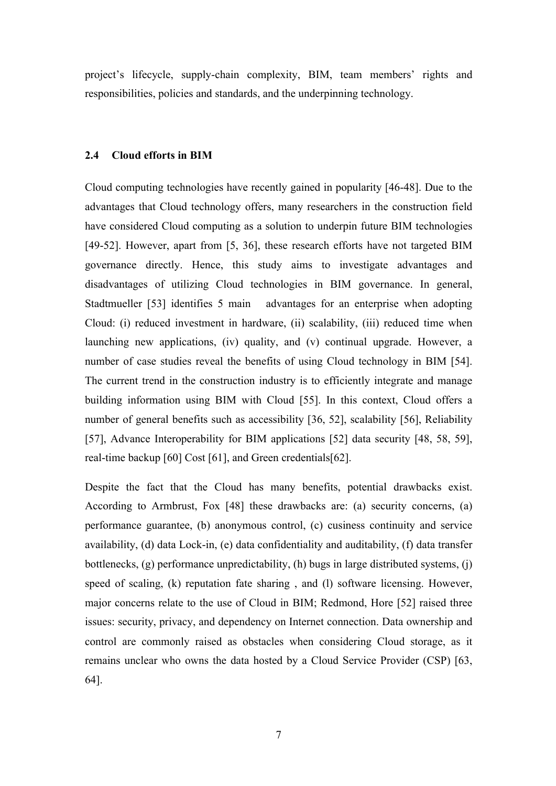project's lifecycle, supply-chain complexity, BIM, team members' rights and responsibilities, policies and standards, and the underpinning technology.

#### **2.4 Cloud efforts in BIM**

Cloud computing technologies have recently gained in popularity [46-48]. Due to the advantages that Cloud technology offers, many researchers in the construction field have considered Cloud computing as a solution to underpin future BIM technologies [49-52]. However, apart from [5, 36], these research efforts have not targeted BIM governance directly. Hence, this study aims to investigate advantages and disadvantages of utilizing Cloud technologies in BIM governance. In general, Stadtmueller [53] identifies 5 main advantages for an enterprise when adopting Cloud: (i) reduced investment in hardware, (ii) scalability, (iii) reduced time when launching new applications, (iv) quality, and (v) continual upgrade. However, a number of case studies reveal the benefits of using Cloud technology in BIM [54]. The current trend in the construction industry is to efficiently integrate and manage building information using BIM with Cloud [55]. In this context, Cloud offers a number of general benefits such as accessibility [36, 52], scalability [56], Reliability [57], Advance Interoperability for BIM applications [52] data security [48, 58, 59], real-time backup [60] Cost [61], and Green credentials[62].

Despite the fact that the Cloud has many benefits, potential drawbacks exist. According to Armbrust, Fox [48] these drawbacks are: (a) security concerns, (a) performance guarantee, (b) anonymous control, (c) cusiness continuity and service availability, (d) data Lock-in, (e) data confidentiality and auditability, (f) data transfer bottlenecks, (g) performance unpredictability, (h) bugs in large distributed systems, (j) speed of scaling, (k) reputation fate sharing , and (l) software licensing. However, major concerns relate to the use of Cloud in BIM; Redmond, Hore [52] raised three issues: security, privacy, and dependency on Internet connection. Data ownership and control are commonly raised as obstacles when considering Cloud storage, as it remains unclear who owns the data hosted by a Cloud Service Provider (CSP) [63, 64].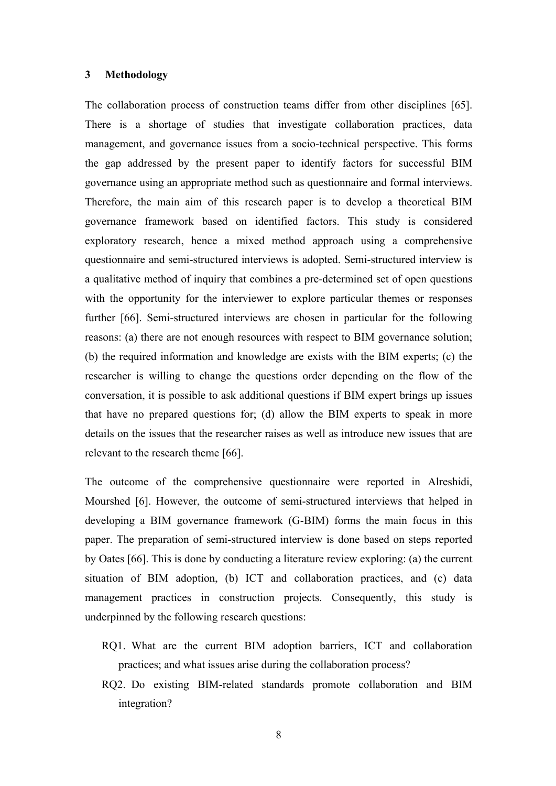#### **3 Methodology**

The collaboration process of construction teams differ from other disciplines [65]. There is a shortage of studies that investigate collaboration practices, data management, and governance issues from a socio-technical perspective. This forms the gap addressed by the present paper to identify factors for successful BIM governance using an appropriate method such as questionnaire and formal interviews. Therefore, the main aim of this research paper is to develop a theoretical BIM governance framework based on identified factors. This study is considered exploratory research, hence a mixed method approach using a comprehensive questionnaire and semi-structured interviews is adopted. Semi-structured interview is a qualitative method of inquiry that combines a pre-determined set of open questions with the opportunity for the interviewer to explore particular themes or responses further [66]. Semi-structured interviews are chosen in particular for the following reasons: (a) there are not enough resources with respect to BIM governance solution; (b) the required information and knowledge are exists with the BIM experts; (c) the researcher is willing to change the questions order depending on the flow of the conversation, it is possible to ask additional questions if BIM expert brings up issues that have no prepared questions for; (d) allow the BIM experts to speak in more details on the issues that the researcher raises as well as introduce new issues that are relevant to the research theme [66].

The outcome of the comprehensive questionnaire were reported in Alreshidi, Mourshed [6]. However, the outcome of semi-structured interviews that helped in developing a BIM governance framework (G-BIM) forms the main focus in this paper. The preparation of semi-structured interview is done based on steps reported by Oates [66]. This is done by conducting a literature review exploring: (a) the current situation of BIM adoption, (b) ICT and collaboration practices, and (c) data management practices in construction projects. Consequently, this study is underpinned by the following research questions:

- RQ1. What are the current BIM adoption barriers, ICT and collaboration practices; and what issues arise during the collaboration process?
- RQ2. Do existing BIM-related standards promote collaboration and BIM integration?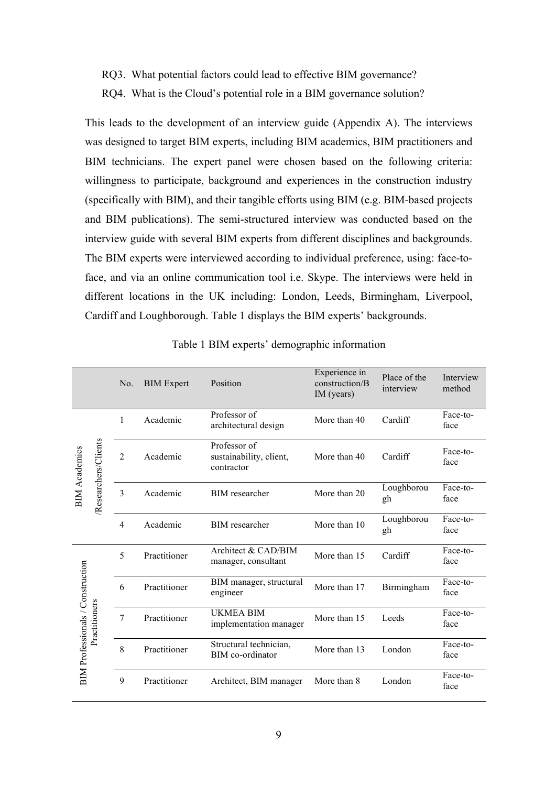- RQ3. What potential factors could lead to effective BIM governance?
- RQ4. What is the Cloud's potential role in a BIM governance solution?

This leads to the development of an interview guide (Appendix A). The interviews was designed to target BIM experts, including BIM academics, BIM practitioners and BIM technicians. The expert panel were chosen based on the following criteria: willingness to participate, background and experiences in the construction industry (specifically with BIM), and their tangible efforts using BIM (e.g. BIM-based projects and BIM publications). The semi-structured interview was conducted based on the interview guide with several BIM experts from different disciplines and backgrounds. The BIM experts were interviewed according to individual preference, using: face-toface, and via an online communication tool i.e. Skype. The interviews were held in different locations in the UK including: London, Leeds, Birmingham, Liverpool, Cardiff and Loughborough. Table 1 displays the BIM experts' backgrounds.

|                                         |                     | No.            | <b>BIM</b> Expert | Position                                              | Experience in<br>construction/B<br>IM (years) | Place of the<br>interview | Interview<br>method |
|-----------------------------------------|---------------------|----------------|-------------------|-------------------------------------------------------|-----------------------------------------------|---------------------------|---------------------|
|                                         |                     | 1              | Academic          | Professor of<br>architectural design                  | More than 40                                  | Cardiff                   | Face-to-<br>face    |
| <b>BIM</b> Academics                    | Researchers/Clients | $\overline{2}$ | Academic          | Professor of<br>sustainability, client,<br>contractor | More than 40                                  | Cardiff                   | Face-to-<br>face    |
|                                         |                     | $\overline{3}$ | Academic          | <b>BIM</b> researcher                                 | More than 20                                  | Loughborou<br>gh          | Face-to-<br>face    |
|                                         |                     | 4              | Academic          | <b>BIM</b> researcher                                 | More than 10                                  | Loughborou<br>gh          | Face-to-<br>face    |
|                                         |                     | 5              | Practitioner      | Architect & CAD/BIM<br>manager, consultant            | More than 15                                  | Cardiff                   | Face-to-<br>face    |
|                                         |                     | 6              | Practitioner      | BIM manager, structural<br>engineer                   | More than 17                                  | Birmingham                | Face-to-<br>face    |
| <b>BIM Professionals / Construction</b> | Practitioners       | $\overline{7}$ | Practitioner      | <b>UKMEA BIM</b><br>implementation manager            | More than 15                                  | Leeds                     | Face-to-<br>face    |
|                                         |                     | 8              | Practitioner      | Structural technician,<br>BIM co-ordinator            | More than 13                                  | London                    | Face-to-<br>face    |
|                                         |                     | 9              | Practitioner      | Architect, BIM manager                                | More than 8                                   | London                    | Face-to-<br>face    |

Table 1 BIM experts' demographic information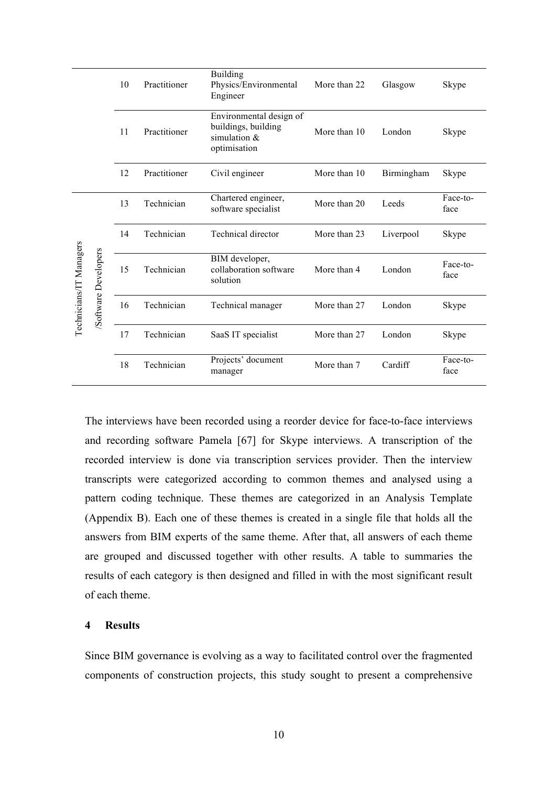|                         |                      | 10 | Practitioner | <b>Building</b><br>Physics/Environmental<br>Engineer                             | More than 22 | Glasgow    | Skype            |
|-------------------------|----------------------|----|--------------|----------------------------------------------------------------------------------|--------------|------------|------------------|
|                         |                      | 11 | Practitioner | Environmental design of<br>buildings, building<br>simulation $&$<br>optimisation | More than 10 | London     | Skype            |
|                         |                      | 12 | Practitioner | Civil engineer                                                                   | More than 10 | Birmingham | Skype            |
|                         |                      | 13 | Technician   | Chartered engineer,<br>software specialist                                       | More than 20 | Leeds      | Face-to-<br>face |
|                         |                      | 14 | Technician   | <b>Technical director</b>                                                        | More than 23 | Liverpool  | Skype            |
| Technicians/IT Managers | /Software Developers | 15 | Technician   | BIM developer,<br>collaboration software<br>solution                             | More than 4  | London     | Face-to-<br>face |
|                         |                      | 16 | Technician   | Technical manager                                                                | More than 27 | London     | Skype            |
|                         |                      | 17 | Technician   | SaaS IT specialist                                                               | More than 27 | London     | Skype            |
|                         |                      | 18 | Technician   | Projects' document<br>manager                                                    | More than 7  | Cardiff    | Face-to-<br>face |

The interviews have been recorded using a reorder device for face-to-face interviews and recording software Pamela [67] for Skype interviews. A transcription of the recorded interview is done via transcription services provider. Then the interview transcripts were categorized according to common themes and analysed using a pattern coding technique. These themes are categorized in an Analysis Template (Appendix B). Each one of these themes is created in a single file that holds all the answers from BIM experts of the same theme. After that, all answers of each theme are grouped and discussed together with other results. A table to summaries the results of each category is then designed and filled in with the most significant result of each theme.

#### **4 Results**

Since BIM governance is evolving as a way to facilitated control over the fragmented components of construction projects, this study sought to present a comprehensive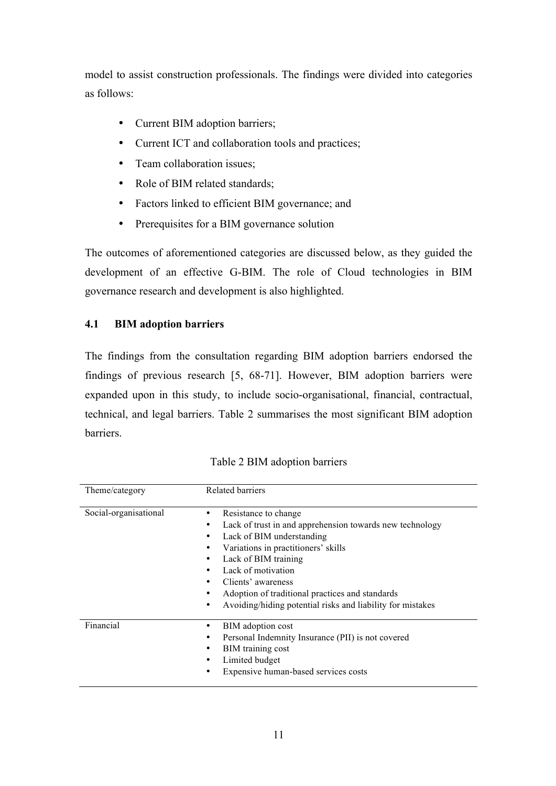model to assist construction professionals. The findings were divided into categories as follows:

- Current BIM adoption barriers;
- Current ICT and collaboration tools and practices;
- Team collaboration issues;
- Role of BIM related standards;
- Factors linked to efficient BIM governance; and
- Prerequisites for a BIM governance solution

The outcomes of aforementioned categories are discussed below, as they guided the development of an effective G-BIM. The role of Cloud technologies in BIM governance research and development is also highlighted.

## **4.1 BIM adoption barriers**

The findings from the consultation regarding BIM adoption barriers endorsed the findings of previous research [5, 68-71]. However, BIM adoption barriers were expanded upon in this study, to include socio-organisational, financial, contractual, technical, and legal barriers. Table 2 summarises the most significant BIM adoption barriers.

| Theme/category        | <b>Related barriers</b>                                                                                                                                                                                                                                                                                                                                  |
|-----------------------|----------------------------------------------------------------------------------------------------------------------------------------------------------------------------------------------------------------------------------------------------------------------------------------------------------------------------------------------------------|
| Social-organisational | Resistance to change<br>٠<br>Lack of trust in and apprehension towards new technology<br>Lack of BIM understanding<br>Variations in practitioners' skills<br>Lack of BIM training<br>Lack of motivation<br>Clients' awareness<br>Adoption of traditional practices and standards<br>٠<br>Avoiding/hiding potential risks and liability for mistakes<br>٠ |
| Financial             | BIM adoption cost<br>٠<br>Personal Indemnity Insurance (PII) is not covered<br>BIM training cost<br>Limited budget<br>Expensive human-based services costs                                                                                                                                                                                               |

Table 2 BIM adoption barriers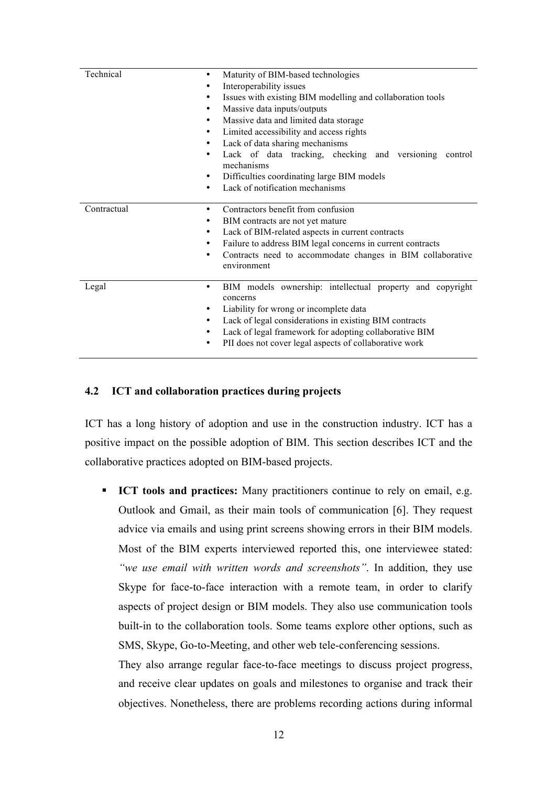| Technical<br>Maturity of BIM-based technologies<br>$\bullet$ |                                                                           |  |  |
|--------------------------------------------------------------|---------------------------------------------------------------------------|--|--|
| ٠                                                            | Interoperability issues                                                   |  |  |
| ٠                                                            | Issues with existing BIM modelling and collaboration tools                |  |  |
| ٠                                                            | Massive data inputs/outputs                                               |  |  |
| ٠                                                            | Massive data and limited data storage                                     |  |  |
| ٠                                                            | Limited accessibility and access rights                                   |  |  |
| ٠                                                            | Lack of data sharing mechanisms                                           |  |  |
| $\bullet$                                                    | Lack of data tracking, checking and versioning<br>control<br>mechanisms   |  |  |
| ٠                                                            | Difficulties coordinating large BIM models                                |  |  |
| ٠                                                            | Lack of notification mechanisms                                           |  |  |
| Contractual<br>٠                                             | Contractors benefit from confusion                                        |  |  |
| ٠                                                            | BIM contracts are not yet mature                                          |  |  |
| ٠                                                            | Lack of BIM-related aspects in current contracts                          |  |  |
| ٠                                                            | Failure to address BIM legal concerns in current contracts                |  |  |
| ٠                                                            | Contracts need to accommodate changes in BIM collaborative<br>environment |  |  |
| Legal<br>٠                                                   | BIM models ownership: intellectual property and copyright<br>concerns     |  |  |
| ٠                                                            | Liability for wrong or incomplete data                                    |  |  |
| ٠                                                            | Lack of legal considerations in existing BIM contracts                    |  |  |
| ٠                                                            | Lack of legal framework for adopting collaborative BIM                    |  |  |
| ٠                                                            | PII does not cover legal aspects of collaborative work                    |  |  |

## **4.2 ICT and collaboration practices during projects**

ICT has a long history of adoption and use in the construction industry. ICT has a positive impact on the possible adoption of BIM. This section describes ICT and the collaborative practices adopted on BIM-based projects.

§ **ICT tools and practices:** Many practitioners continue to rely on email, e.g. Outlook and Gmail, as their main tools of communication [6]. They request advice via emails and using print screens showing errors in their BIM models. Most of the BIM experts interviewed reported this, one interviewee stated: *"we use email with written words and screenshots"*. In addition, they use Skype for face-to-face interaction with a remote team, in order to clarify aspects of project design or BIM models. They also use communication tools built-in to the collaboration tools. Some teams explore other options, such as SMS, Skype, Go-to-Meeting, and other web tele-conferencing sessions.

They also arrange regular face-to-face meetings to discuss project progress, and receive clear updates on goals and milestones to organise and track their objectives. Nonetheless, there are problems recording actions during informal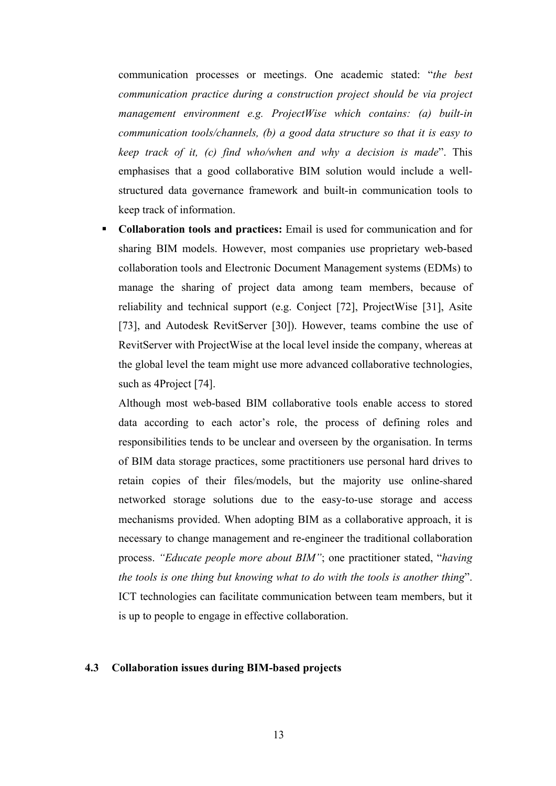communication processes or meetings. One academic stated: "*the best communication practice during a construction project should be via project management environment e.g. ProjectWise which contains: (a) built-in communication tools/channels, (b) a good data structure so that it is easy to keep track of it, (c) find who/when and why a decision is made*". This emphasises that a good collaborative BIM solution would include a wellstructured data governance framework and built-in communication tools to keep track of information.

§ **Collaboration tools and practices:** Email is used for communication and for sharing BIM models. However, most companies use proprietary web-based collaboration tools and Electronic Document Management systems (EDMs) to manage the sharing of project data among team members, because of reliability and technical support (e.g. Conject [72], ProjectWise [31], Asite [73], and Autodesk RevitServer [30]). However, teams combine the use of RevitServer with ProjectWise at the local level inside the company, whereas at the global level the team might use more advanced collaborative technologies, such as 4Project [74].

Although most web-based BIM collaborative tools enable access to stored data according to each actor's role, the process of defining roles and responsibilities tends to be unclear and overseen by the organisation. In terms of BIM data storage practices, some practitioners use personal hard drives to retain copies of their files/models, but the majority use online-shared networked storage solutions due to the easy-to-use storage and access mechanisms provided. When adopting BIM as a collaborative approach, it is necessary to change management and re-engineer the traditional collaboration process. *"Educate people more about BIM"*; one practitioner stated, "*having the tools is one thing but knowing what to do with the tools is another thing*". ICT technologies can facilitate communication between team members, but it is up to people to engage in effective collaboration.

#### **4.3 Collaboration issues during BIM-based projects**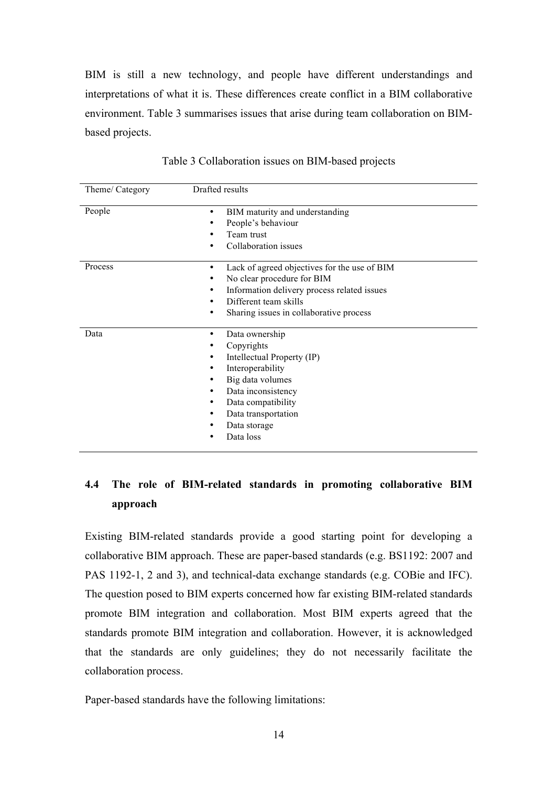BIM is still a new technology, and people have different understandings and interpretations of what it is. These differences create conflict in a BIM collaborative environment. Table 3 summarises issues that arise during team collaboration on BIMbased projects.

| Theme/ Category | Drafted results                                                                                                                                                                                         |
|-----------------|---------------------------------------------------------------------------------------------------------------------------------------------------------------------------------------------------------|
| People          | BIM maturity and understanding<br>People's behaviour<br>Team trust<br>Collaboration issues                                                                                                              |
| Process         | Lack of agreed objectives for the use of BIM<br>٠<br>No clear procedure for BIM<br>Information delivery process related issues<br>Different team skills<br>Sharing issues in collaborative process<br>٠ |
| Data            | Data ownership<br>٠<br>Copyrights<br>Intellectual Property (IP)<br>Interoperability<br>Big data volumes<br>Data inconsistency<br>Data compatibility<br>Data transportation<br>Data storage<br>Data loss |

Table 3 Collaboration issues on BIM-based projects

## **4.4 The role of BIM-related standards in promoting collaborative BIM approach**

Existing BIM-related standards provide a good starting point for developing a collaborative BIM approach. These are paper-based standards (e.g. BS1192: 2007 and PAS 1192-1, 2 and 3), and technical-data exchange standards (e.g. COBie and IFC). The question posed to BIM experts concerned how far existing BIM-related standards promote BIM integration and collaboration. Most BIM experts agreed that the standards promote BIM integration and collaboration. However, it is acknowledged that the standards are only guidelines; they do not necessarily facilitate the collaboration process.

Paper-based standards have the following limitations: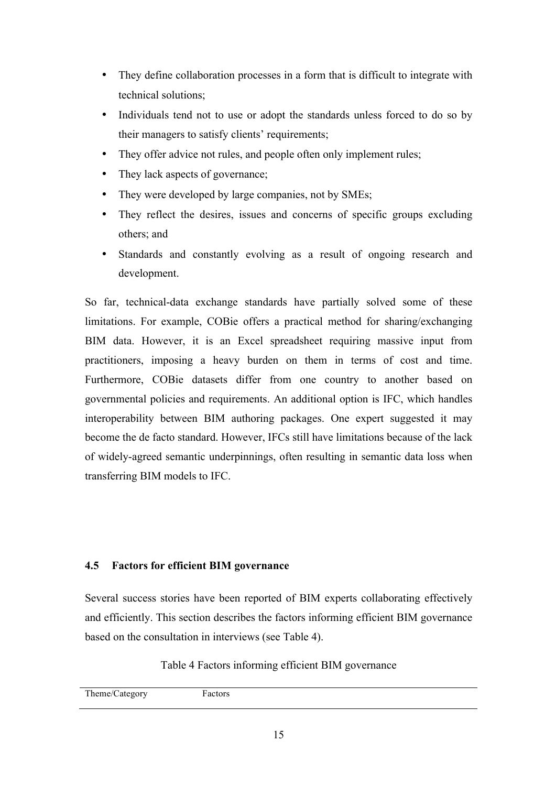- They define collaboration processes in a form that is difficult to integrate with technical solutions;
- Individuals tend not to use or adopt the standards unless forced to do so by their managers to satisfy clients' requirements;
- They offer advice not rules, and people often only implement rules;
- They lack aspects of governance;
- They were developed by large companies, not by SMEs;
- They reflect the desires, issues and concerns of specific groups excluding others; and
- Standards and constantly evolving as a result of ongoing research and development.

So far, technical-data exchange standards have partially solved some of these limitations. For example, COBie offers a practical method for sharing/exchanging BIM data. However, it is an Excel spreadsheet requiring massive input from practitioners, imposing a heavy burden on them in terms of cost and time. Furthermore, COBie datasets differ from one country to another based on governmental policies and requirements. An additional option is IFC, which handles interoperability between BIM authoring packages. One expert suggested it may become the de facto standard. However, IFCs still have limitations because of the lack of widely-agreed semantic underpinnings, often resulting in semantic data loss when transferring BIM models to IFC.

## **4.5 Factors for efficient BIM governance**

Several success stories have been reported of BIM experts collaborating effectively and efficiently. This section describes the factors informing efficient BIM governance based on the consultation in interviews (see Table 4).

Table 4 Factors informing efficient BIM governance

| Theme/Category | actors |
|----------------|--------|
|                |        |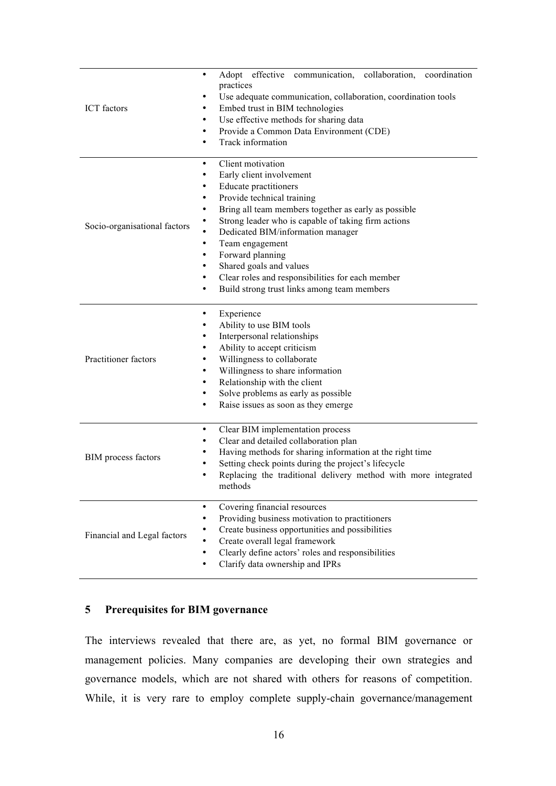| ICT factors                  | Adopt effective<br>communication,<br>collaboration,<br>coordination<br>practices<br>Use adequate communication, collaboration, coordination tools<br>Embed trust in BIM technologies<br>Use effective methods for sharing data<br>Provide a Common Data Environment (CDE)<br>Track information                                                                                                                                                                                                                               |  |  |  |
|------------------------------|------------------------------------------------------------------------------------------------------------------------------------------------------------------------------------------------------------------------------------------------------------------------------------------------------------------------------------------------------------------------------------------------------------------------------------------------------------------------------------------------------------------------------|--|--|--|
| Socio-organisational factors | Client motivation<br>$\bullet$<br>Early client involvement<br>٠<br>Educate practitioners<br>٠<br>Provide technical training<br>$\bullet$<br>Bring all team members together as early as possible<br>٠<br>Strong leader who is capable of taking firm actions<br>Dedicated BIM/information manager<br>$\bullet$<br>Team engagement<br>$\bullet$<br>Forward planning<br>$\bullet$<br>Shared goals and values<br>٠<br>Clear roles and responsibilities for each member<br>٠<br>Build strong trust links among team members<br>٠ |  |  |  |
| Practitioner factors         | Experience<br>٠<br>Ability to use BIM tools<br>$\bullet$<br>Interpersonal relationships<br>$\bullet$<br>Ability to accept criticism<br>٠<br>Willingness to collaborate<br>٠<br>Willingness to share information<br>$\bullet$<br>Relationship with the client<br>$\bullet$<br>Solve problems as early as possible<br>$\bullet$<br>Raise issues as soon as they emerge<br>٠                                                                                                                                                    |  |  |  |
| <b>BIM</b> process factors   | Clear BIM implementation process<br>Clear and detailed collaboration plan<br>Having methods for sharing information at the right time<br>Setting check points during the project's lifecycle<br>Replacing the traditional delivery method with more integrated<br>methods                                                                                                                                                                                                                                                    |  |  |  |
| Financial and Legal factors  | Covering financial resources<br>$\bullet$<br>Providing business motivation to practitioners<br>٠<br>Create business opportunities and possibilities<br>٠<br>Create overall legal framework<br>$\bullet$<br>Clearly define actors' roles and responsibilities<br>$\bullet$<br>Clarify data ownership and IPRs<br>$\bullet$                                                                                                                                                                                                    |  |  |  |

## **5 Prerequisites for BIM governance**

The interviews revealed that there are, as yet, no formal BIM governance or management policies. Many companies are developing their own strategies and governance models, which are not shared with others for reasons of competition. While, it is very rare to employ complete supply-chain governance/management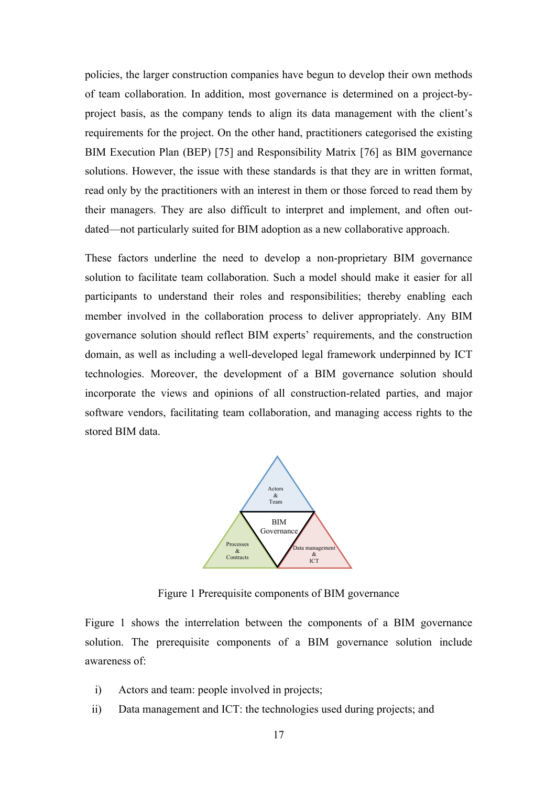policies, the larger construction companies have begun to develop their own methods of team collaboration. In addition, most governance is determined on a project-byproject basis, as the company tends to align its data management with the client's requirements for the project. On the other hand, practitioners categorised the existing BIM Execution Plan (BEP) [75] and Responsibility Matrix [76] as BIM governance solutions. However, the issue with these standards is that they are in written format, read only by the practitioners with an interest in them or those forced to read them by their managers. They are also difficult to interpret and implement, and often outdated—not particularly suited for BIM adoption as a new collaborative approach.

These factors underline the need to develop a non-proprietary BIM governance solution to facilitate team collaboration. Such a model should make it easier for all participants to understand their roles and responsibilities; thereby enabling each member involved in the collaboration process to deliver appropriately. Any BIM governance solution should reflect BIM experts' requirements, and the construction domain, as well as including a well-developed legal framework underpinned by ICT technologies. Moreover, the development of a BIM governance solution should incorporate the views and opinions of all construction-related parties, and major software vendors, facilitating team collaboration, and managing access rights to the stored BIM data.



Figure 1 Prerequisite components of BIM governance

Figure 1 shows the interrelation between the components of a BIM governance solution. The prerequisite components of a BIM governance solution include awareness of:

- i) Actors and team: people involved in projects;
- ii) Data management and ICT: the technologies used during projects; and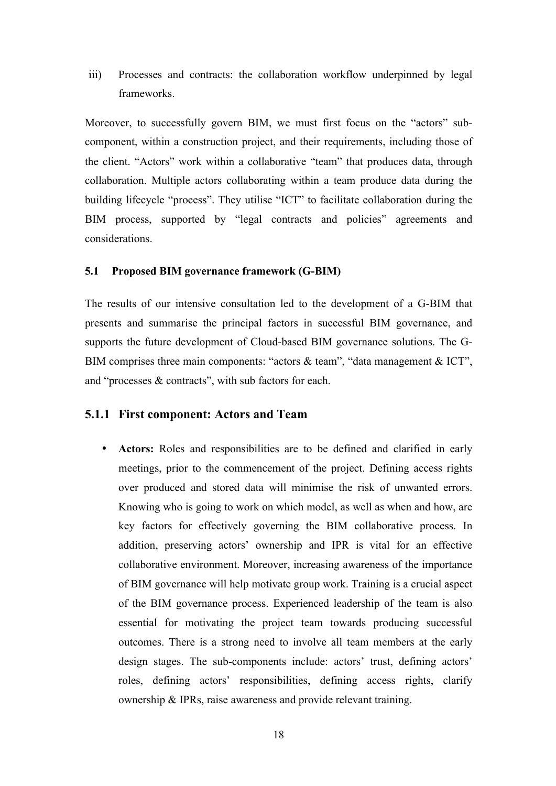iii) Processes and contracts: the collaboration workflow underpinned by legal frameworks.

Moreover, to successfully govern BIM, we must first focus on the "actors" subcomponent, within a construction project, and their requirements, including those of the client. "Actors" work within a collaborative "team" that produces data, through collaboration. Multiple actors collaborating within a team produce data during the building lifecycle "process". They utilise "ICT" to facilitate collaboration during the BIM process, supported by "legal contracts and policies" agreements and considerations.

## **5.1 Proposed BIM governance framework (G-BIM)**

The results of our intensive consultation led to the development of a G-BIM that presents and summarise the principal factors in successful BIM governance, and supports the future development of Cloud-based BIM governance solutions. The G-BIM comprises three main components: "actors & team", "data management & ICT", and "processes & contracts", with sub factors for each.

## **5.1.1 First component: Actors and Team**

• **Actors:** Roles and responsibilities are to be defined and clarified in early meetings, prior to the commencement of the project. Defining access rights over produced and stored data will minimise the risk of unwanted errors. Knowing who is going to work on which model, as well as when and how, are key factors for effectively governing the BIM collaborative process. In addition, preserving actors' ownership and IPR is vital for an effective collaborative environment. Moreover, increasing awareness of the importance of BIM governance will help motivate group work. Training is a crucial aspect of the BIM governance process. Experienced leadership of the team is also essential for motivating the project team towards producing successful outcomes. There is a strong need to involve all team members at the early design stages. The sub-components include: actors' trust, defining actors' roles, defining actors' responsibilities, defining access rights, clarify ownership & IPRs, raise awareness and provide relevant training.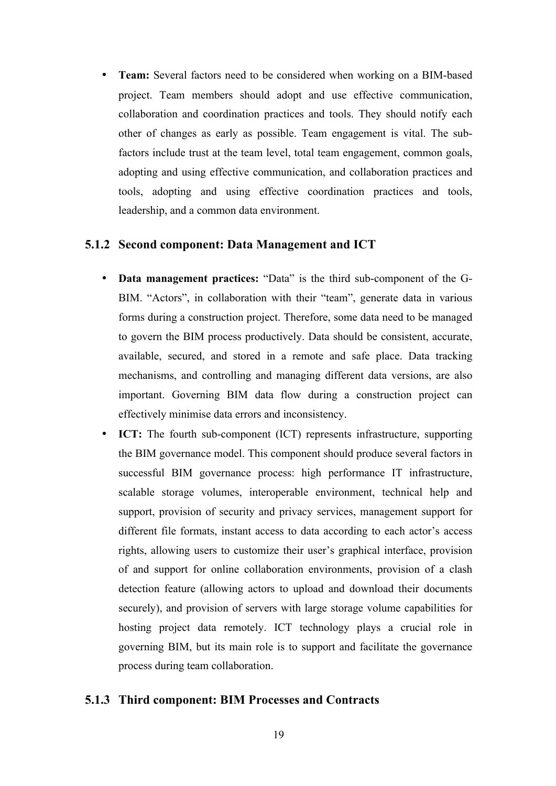• **Team:** Several factors need to be considered when working on a BIM-based project. Team members should adopt and use effective communication, collaboration and coordination practices and tools. They should notify each other of changes as early as possible. Team engagement is vital. The subfactors include trust at the team level, total team engagement, common goals, adopting and using effective communication, and collaboration practices and tools, adopting and using effective coordination practices and tools, leadership, and a common data environment.

## **5.1.2 Second component: Data Management and ICT**

- **Data management practices:** "Data" is the third sub-component of the G-BIM. "Actors", in collaboration with their "team", generate data in various forms during a construction project. Therefore, some data need to be managed to govern the BIM process productively. Data should be consistent, accurate, available, secured, and stored in a remote and safe place. Data tracking mechanisms, and controlling and managing different data versions, are also important. Governing BIM data flow during a construction project can effectively minimise data errors and inconsistency.
- **ICT:** The fourth sub-component (ICT) represents infrastructure, supporting the BIM governance model. This component should produce several factors in successful BIM governance process: high performance IT infrastructure, scalable storage volumes, interoperable environment, technical help and support, provision of security and privacy services, management support for different file formats, instant access to data according to each actor's access rights, allowing users to customize their user's graphical interface, provision of and support for online collaboration environments, provision of a clash detection feature (allowing actors to upload and download their documents securely), and provision of servers with large storage volume capabilities for hosting project data remotely. ICT technology plays a crucial role in governing BIM, but its main role is to support and facilitate the governance process during team collaboration.

## **5.1.3 Third component: BIM Processes and Contracts**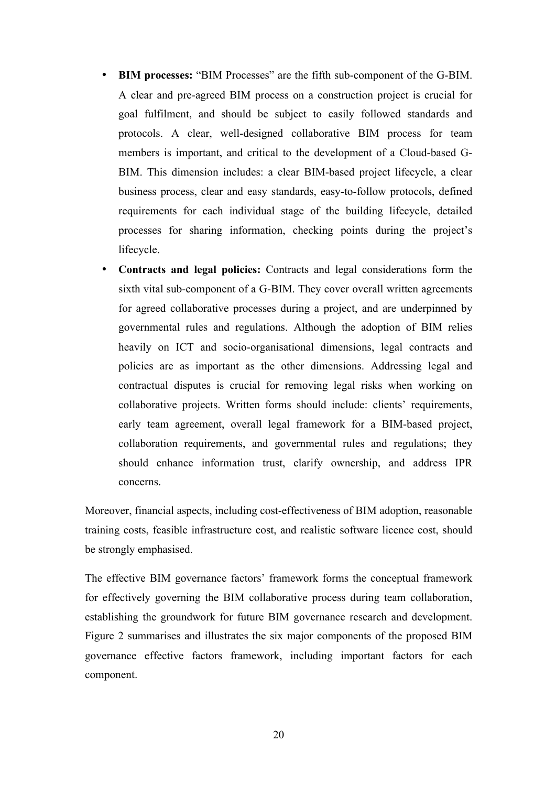- **BIM processes:** "BIM Processes" are the fifth sub-component of the G-BIM. A clear and pre-agreed BIM process on a construction project is crucial for goal fulfilment, and should be subject to easily followed standards and protocols. A clear, well-designed collaborative BIM process for team members is important, and critical to the development of a Cloud-based G-BIM. This dimension includes: a clear BIM-based project lifecycle, a clear business process, clear and easy standards, easy-to-follow protocols, defined requirements for each individual stage of the building lifecycle, detailed processes for sharing information, checking points during the project's lifecycle.
- **Contracts and legal policies:** Contracts and legal considerations form the sixth vital sub-component of a G-BIM. They cover overall written agreements for agreed collaborative processes during a project, and are underpinned by governmental rules and regulations. Although the adoption of BIM relies heavily on ICT and socio-organisational dimensions, legal contracts and policies are as important as the other dimensions. Addressing legal and contractual disputes is crucial for removing legal risks when working on collaborative projects. Written forms should include: clients' requirements, early team agreement, overall legal framework for a BIM-based project, collaboration requirements, and governmental rules and regulations; they should enhance information trust, clarify ownership, and address IPR concerns.

Moreover, financial aspects, including cost-effectiveness of BIM adoption, reasonable training costs, feasible infrastructure cost, and realistic software licence cost, should be strongly emphasised.

The effective BIM governance factors' framework forms the conceptual framework for effectively governing the BIM collaborative process during team collaboration, establishing the groundwork for future BIM governance research and development. Figure 2 summarises and illustrates the six major components of the proposed BIM governance effective factors framework, including important factors for each component.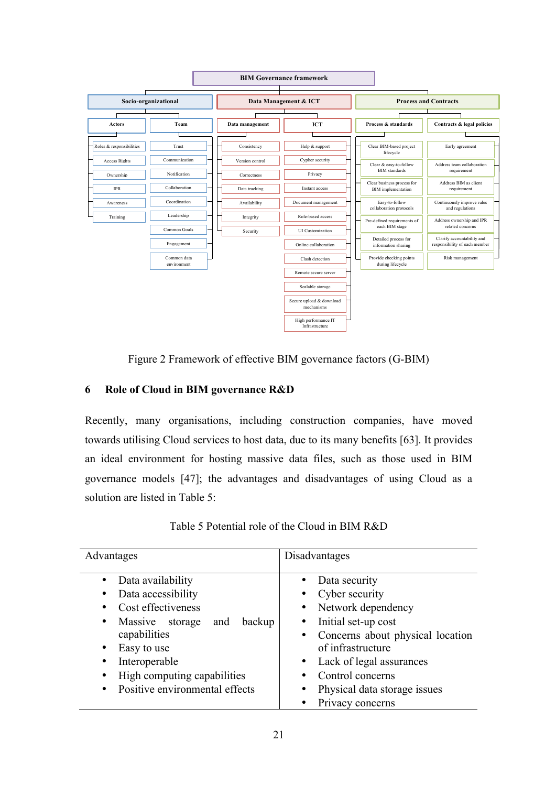

Figure 2 Framework of effective BIM governance factors (G-BIM)

## **6 Role of Cloud in BIM governance R&D**

Recently, many organisations, including construction companies, have moved towards utilising Cloud services to host data, due to its many benefits [63]. It provides an ideal environment for hosting massive data files, such as those used in BIM governance models [47]; the advantages and disadvantages of using Cloud as a solution are listed in Table 5:

| Table 5 Potential role of the Cloud in BIM R&D |  |  |  |
|------------------------------------------------|--|--|--|
|------------------------------------------------|--|--|--|

| Advantages                                                                                                                                                                                                                                     | Disadvantages                                                                                                                                                                                                                                                                    |  |  |
|------------------------------------------------------------------------------------------------------------------------------------------------------------------------------------------------------------------------------------------------|----------------------------------------------------------------------------------------------------------------------------------------------------------------------------------------------------------------------------------------------------------------------------------|--|--|
| Data availability<br>Data accessibility<br>Cost effectiveness<br>٠<br>backup<br>Massive storage<br>and<br>$\bullet$<br>capabilities<br>Easy to use<br>٠<br>Interoperable<br>High computing capabilities<br>Positive environmental effects<br>٠ | Data security<br>Cyber security<br>Network dependency<br>$\bullet$<br>Initial set-up cost<br>Concerns about physical location<br>of infrastructure<br>Lack of legal assurances<br>$\bullet$<br>Control concerns<br>Physical data storage issues<br>$\bullet$<br>Privacy concerns |  |  |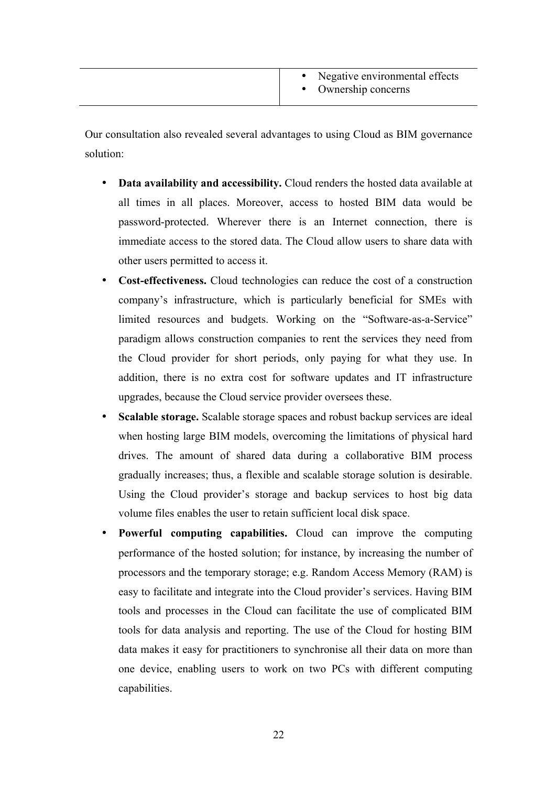|  | Negative environmental effects<br>• Ownership concerns |
|--|--------------------------------------------------------|
|--|--------------------------------------------------------|

Our consultation also revealed several advantages to using Cloud as BIM governance solution:

- **Data availability and accessibility.** Cloud renders the hosted data available at all times in all places. Moreover, access to hosted BIM data would be password-protected. Wherever there is an Internet connection, there is immediate access to the stored data. The Cloud allow users to share data with other users permitted to access it.
- **Cost-effectiveness.** Cloud technologies can reduce the cost of a construction company's infrastructure, which is particularly beneficial for SMEs with limited resources and budgets. Working on the "Software-as-a-Service" paradigm allows construction companies to rent the services they need from the Cloud provider for short periods, only paying for what they use. In addition, there is no extra cost for software updates and IT infrastructure upgrades, because the Cloud service provider oversees these.
- **Scalable storage.** Scalable storage spaces and robust backup services are ideal when hosting large BIM models, overcoming the limitations of physical hard drives. The amount of shared data during a collaborative BIM process gradually increases; thus, a flexible and scalable storage solution is desirable. Using the Cloud provider's storage and backup services to host big data volume files enables the user to retain sufficient local disk space.
- **Powerful computing capabilities.** Cloud can improve the computing performance of the hosted solution; for instance, by increasing the number of processors and the temporary storage; e.g. Random Access Memory (RAM) is easy to facilitate and integrate into the Cloud provider's services. Having BIM tools and processes in the Cloud can facilitate the use of complicated BIM tools for data analysis and reporting. The use of the Cloud for hosting BIM data makes it easy for practitioners to synchronise all their data on more than one device, enabling users to work on two PCs with different computing capabilities.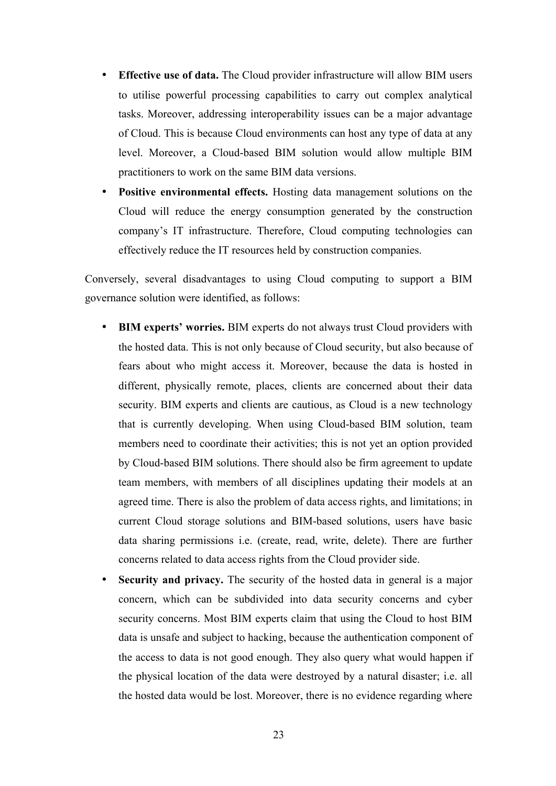- **Effective use of data.** The Cloud provider infrastructure will allow BIM users to utilise powerful processing capabilities to carry out complex analytical tasks. Moreover, addressing interoperability issues can be a major advantage of Cloud. This is because Cloud environments can host any type of data at any level. Moreover, a Cloud-based BIM solution would allow multiple BIM practitioners to work on the same BIM data versions.
- **Positive environmental effects.** Hosting data management solutions on the Cloud will reduce the energy consumption generated by the construction company's IT infrastructure. Therefore, Cloud computing technologies can effectively reduce the IT resources held by construction companies.

Conversely, several disadvantages to using Cloud computing to support a BIM governance solution were identified, as follows:

- **BIM experts' worries.** BIM experts do not always trust Cloud providers with the hosted data. This is not only because of Cloud security, but also because of fears about who might access it. Moreover, because the data is hosted in different, physically remote, places, clients are concerned about their data security. BIM experts and clients are cautious, as Cloud is a new technology that is currently developing. When using Cloud-based BIM solution, team members need to coordinate their activities; this is not yet an option provided by Cloud-based BIM solutions. There should also be firm agreement to update team members, with members of all disciplines updating their models at an agreed time. There is also the problem of data access rights, and limitations; in current Cloud storage solutions and BIM-based solutions, users have basic data sharing permissions i.e. (create, read, write, delete). There are further concerns related to data access rights from the Cloud provider side.
- **Security and privacy.** The security of the hosted data in general is a major concern, which can be subdivided into data security concerns and cyber security concerns. Most BIM experts claim that using the Cloud to host BIM data is unsafe and subject to hacking, because the authentication component of the access to data is not good enough. They also query what would happen if the physical location of the data were destroyed by a natural disaster; i.e. all the hosted data would be lost. Moreover, there is no evidence regarding where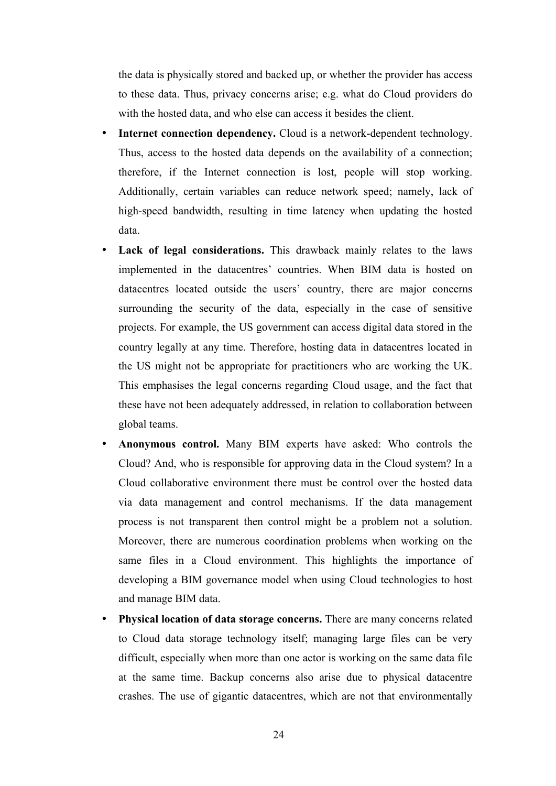the data is physically stored and backed up, or whether the provider has access to these data. Thus, privacy concerns arise; e.g. what do Cloud providers do with the hosted data, and who else can access it besides the client.

- **Internet connection dependency.** Cloud is a network-dependent technology. Thus, access to the hosted data depends on the availability of a connection; therefore, if the Internet connection is lost, people will stop working. Additionally, certain variables can reduce network speed; namely, lack of high-speed bandwidth, resulting in time latency when updating the hosted data.
- Lack of legal considerations. This drawback mainly relates to the laws implemented in the datacentres' countries. When BIM data is hosted on datacentres located outside the users' country, there are major concerns surrounding the security of the data, especially in the case of sensitive projects. For example, the US government can access digital data stored in the country legally at any time. Therefore, hosting data in datacentres located in the US might not be appropriate for practitioners who are working the UK. This emphasises the legal concerns regarding Cloud usage, and the fact that these have not been adequately addressed, in relation to collaboration between global teams.
- **Anonymous control.** Many BIM experts have asked: Who controls the Cloud? And, who is responsible for approving data in the Cloud system? In a Cloud collaborative environment there must be control over the hosted data via data management and control mechanisms. If the data management process is not transparent then control might be a problem not a solution. Moreover, there are numerous coordination problems when working on the same files in a Cloud environment. This highlights the importance of developing a BIM governance model when using Cloud technologies to host and manage BIM data.
- **Physical location of data storage concerns.** There are many concerns related to Cloud data storage technology itself; managing large files can be very difficult, especially when more than one actor is working on the same data file at the same time. Backup concerns also arise due to physical datacentre crashes. The use of gigantic datacentres, which are not that environmentally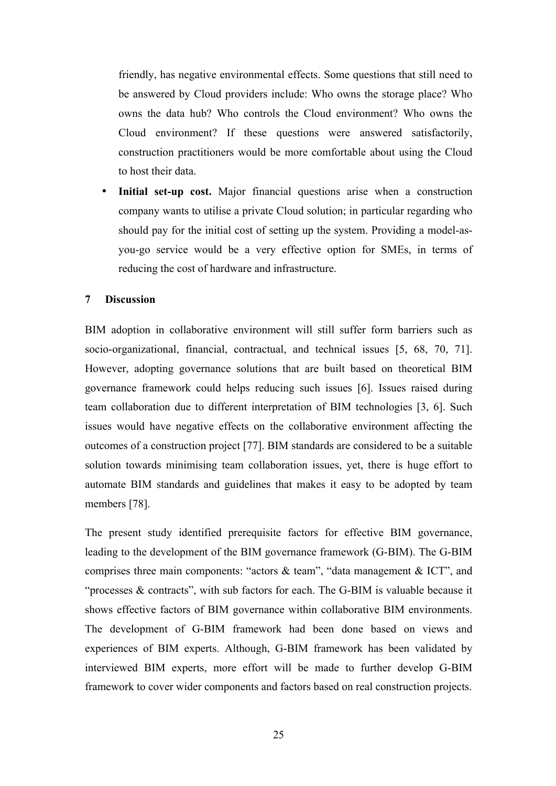friendly, has negative environmental effects. Some questions that still need to be answered by Cloud providers include: Who owns the storage place? Who owns the data hub? Who controls the Cloud environment? Who owns the Cloud environment? If these questions were answered satisfactorily, construction practitioners would be more comfortable about using the Cloud to host their data.

**Initial set-up cost.** Major financial questions arise when a construction company wants to utilise a private Cloud solution; in particular regarding who should pay for the initial cost of setting up the system. Providing a model-asyou-go service would be a very effective option for SMEs, in terms of reducing the cost of hardware and infrastructure.

#### **7 Discussion**

BIM adoption in collaborative environment will still suffer form barriers such as socio-organizational, financial, contractual, and technical issues [5, 68, 70, 71]. However, adopting governance solutions that are built based on theoretical BIM governance framework could helps reducing such issues [6]. Issues raised during team collaboration due to different interpretation of BIM technologies [3, 6]. Such issues would have negative effects on the collaborative environment affecting the outcomes of a construction project [77]. BIM standards are considered to be a suitable solution towards minimising team collaboration issues, yet, there is huge effort to automate BIM standards and guidelines that makes it easy to be adopted by team members [78].

The present study identified prerequisite factors for effective BIM governance, leading to the development of the BIM governance framework (G-BIM). The G-BIM comprises three main components: "actors & team", "data management & ICT", and "processes & contracts", with sub factors for each. The G-BIM is valuable because it shows effective factors of BIM governance within collaborative BIM environments. The development of G-BIM framework had been done based on views and experiences of BIM experts. Although, G-BIM framework has been validated by interviewed BIM experts, more effort will be made to further develop G-BIM framework to cover wider components and factors based on real construction projects.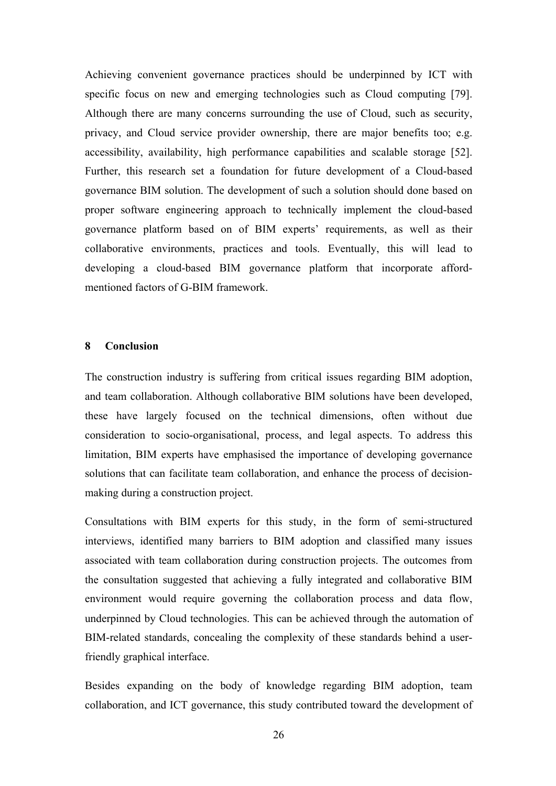Achieving convenient governance practices should be underpinned by ICT with specific focus on new and emerging technologies such as Cloud computing [79]. Although there are many concerns surrounding the use of Cloud, such as security, privacy, and Cloud service provider ownership, there are major benefits too; e.g. accessibility, availability, high performance capabilities and scalable storage [52]. Further, this research set a foundation for future development of a Cloud-based governance BIM solution. The development of such a solution should done based on proper software engineering approach to technically implement the cloud-based governance platform based on of BIM experts' requirements, as well as their collaborative environments, practices and tools. Eventually, this will lead to developing a cloud-based BIM governance platform that incorporate affordmentioned factors of G-BIM framework.

#### **8 Conclusion**

The construction industry is suffering from critical issues regarding BIM adoption, and team collaboration. Although collaborative BIM solutions have been developed, these have largely focused on the technical dimensions, often without due consideration to socio-organisational, process, and legal aspects. To address this limitation, BIM experts have emphasised the importance of developing governance solutions that can facilitate team collaboration, and enhance the process of decisionmaking during a construction project.

Consultations with BIM experts for this study, in the form of semi-structured interviews, identified many barriers to BIM adoption and classified many issues associated with team collaboration during construction projects. The outcomes from the consultation suggested that achieving a fully integrated and collaborative BIM environment would require governing the collaboration process and data flow, underpinned by Cloud technologies. This can be achieved through the automation of BIM-related standards, concealing the complexity of these standards behind a userfriendly graphical interface.

Besides expanding on the body of knowledge regarding BIM adoption, team collaboration, and ICT governance, this study contributed toward the development of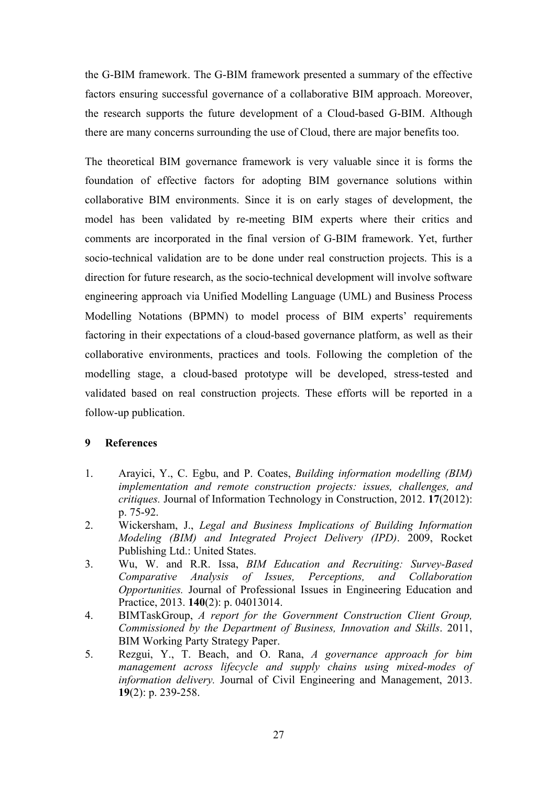the G-BIM framework. The G-BIM framework presented a summary of the effective factors ensuring successful governance of a collaborative BIM approach. Moreover, the research supports the future development of a Cloud-based G-BIM. Although there are many concerns surrounding the use of Cloud, there are major benefits too.

The theoretical BIM governance framework is very valuable since it is forms the foundation of effective factors for adopting BIM governance solutions within collaborative BIM environments. Since it is on early stages of development, the model has been validated by re-meeting BIM experts where their critics and comments are incorporated in the final version of G-BIM framework. Yet, further socio-technical validation are to be done under real construction projects. This is a direction for future research, as the socio-technical development will involve software engineering approach via Unified Modelling Language (UML) and Business Process Modelling Notations (BPMN) to model process of BIM experts' requirements factoring in their expectations of a cloud-based governance platform, as well as their collaborative environments, practices and tools. Following the completion of the modelling stage, a cloud-based prototype will be developed, stress-tested and validated based on real construction projects. These efforts will be reported in a follow-up publication.

#### **9 References**

- 1. Arayici, Y., C. Egbu, and P. Coates, *Building information modelling (BIM) implementation and remote construction projects: issues, challenges, and critiques.* Journal of Information Technology in Construction, 2012. **17**(2012): p. 75-92.
- 2. Wickersham, J., *Legal and Business Implications of Building Information Modeling (BIM) and Integrated Project Delivery (IPD)*. 2009, Rocket Publishing Ltd.: United States.
- 3. Wu, W. and R.R. Issa, *BIM Education and Recruiting: Survey-Based Comparative Analysis of Issues, Perceptions, and Collaboration Opportunities.* Journal of Professional Issues in Engineering Education and Practice, 2013. **140**(2): p. 04013014.
- 4. BIMTaskGroup, *A report for the Government Construction Client Group, Commissioned by the Department of Business, Innovation and Skills*. 2011, BIM Working Party Strategy Paper.
- 5. Rezgui, Y., T. Beach, and O. Rana, *A governance approach for bim management across lifecycle and supply chains using mixed-modes of information delivery.* Journal of Civil Engineering and Management, 2013. **19**(2): p. 239-258.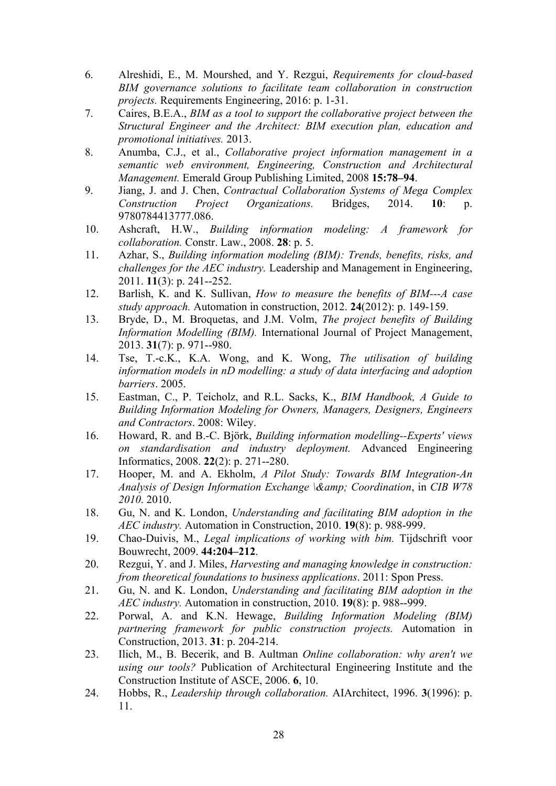- 6. Alreshidi, E., M. Mourshed, and Y. Rezgui, *Requirements for cloud-based BIM governance solutions to facilitate team collaboration in construction projects.* Requirements Engineering, 2016: p. 1-31.
- 7. Caires, B.E.A., *BIM as a tool to support the collaborative project between the Structural Engineer and the Architect: BIM execution plan, education and promotional initiatives.* 2013.
- 8. Anumba, C.J., et al., *Collaborative project information management in a semantic web environment, Engineering, Construction and Architectural Management.* Emerald Group Publishing Limited, 2008 **15:78–94**.
- 9. Jiang, J. and J. Chen, *Contractual Collaboration Systems of Mega Complex Construction Project Organizations.* Bridges, 2014. **10**: p. 9780784413777.086.
- 10. Ashcraft, H.W., *Building information modeling: A framework for collaboration.* Constr. Law., 2008. **28**: p. 5.
- 11. Azhar, S., *Building information modeling (BIM): Trends, benefits, risks, and challenges for the AEC industry.* Leadership and Management in Engineering, 2011. **11**(3): p. 241--252.
- 12. Barlish, K. and K. Sullivan, *How to measure the benefits of BIM---A case study approach.* Automation in construction, 2012. **24**(2012): p. 149-159.
- 13. Bryde, D., M. Broquetas, and J.M. Volm, *The project benefits of Building Information Modelling (BIM).* International Journal of Project Management, 2013. **31**(7): p. 971--980.
- 14. Tse, T.-c.K., K.A. Wong, and K. Wong, *The utilisation of building information models in nD modelling: a study of data interfacing and adoption barriers*. 2005.
- 15. Eastman, C., P. Teicholz, and R.L. Sacks, K., *BIM Handbook, A Guide to Building Information Modeling for Owners, Managers, Designers, Engineers and Contractors*. 2008: Wiley.
- 16. Howard, R. and B.-C. Björk, *Building information modelling--Experts' views on standardisation and industry deployment.* Advanced Engineering Informatics, 2008. **22**(2): p. 271--280.
- 17. Hooper, M. and A. Ekholm, *A Pilot Study: Towards BIM Integration-An Analysis of Design Information Exchange \& Coordination*, in *CIB W78 2010*. 2010.
- 18. Gu, N. and K. London, *Understanding and facilitating BIM adoption in the AEC industry.* Automation in Construction, 2010. **19**(8): p. 988-999.
- 19. Chao-Duivis, M., *Legal implications of working with bim.* Tijdschrift voor Bouwrecht, 2009. **44:204–212**.
- 20. Rezgui, Y. and J. Miles, *Harvesting and managing knowledge in construction: from theoretical foundations to business applications*. 2011: Spon Press.
- 21. Gu, N. and K. London, *Understanding and facilitating BIM adoption in the AEC industry.* Automation in construction, 2010. **19**(8): p. 988--999.
- 22. Porwal, A. and K.N. Hewage, *Building Information Modeling (BIM) partnering framework for public construction projects.* Automation in Construction, 2013. **31**: p. 204-214.
- 23. Ilich, M., B. Becerik, and B. Aultman *Online collaboration: why aren't we using our tools?* Publication of Architectural Engineering Institute and the Construction Institute of ASCE, 2006. **6**, 10.
- 24. Hobbs, R., *Leadership through collaboration.* AIArchitect, 1996. **3**(1996): p. 11.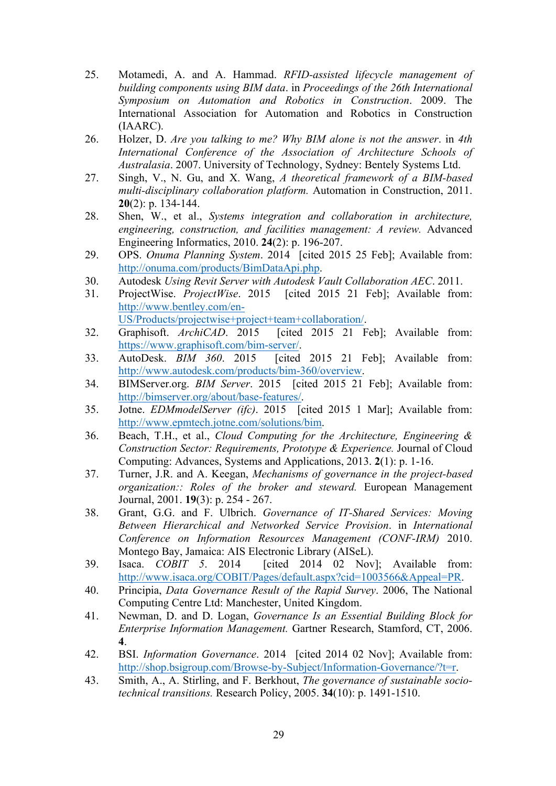- 25. Motamedi, A. and A. Hammad. *RFID-assisted lifecycle management of building components using BIM data*. in *Proceedings of the 26th International Symposium on Automation and Robotics in Construction*. 2009. The International Association for Automation and Robotics in Construction (IAARC).
- 26. Holzer, D. *Are you talking to me? Why BIM alone is not the answer*. in *4th International Conference of the Association of Architecture Schools of Australasia*. 2007. University of Technology, Sydney: Bentely Systems Ltd.
- 27. Singh, V., N. Gu, and X. Wang, *A theoretical framework of a BIM-based multi-disciplinary collaboration platform.* Automation in Construction, 2011. **20**(2): p. 134-144.
- 28. Shen, W., et al., *Systems integration and collaboration in architecture, engineering, construction, and facilities management: A review.* Advanced Engineering Informatics, 2010. **24**(2): p. 196-207.
- 29. OPS. *Onuma Planning System*. 2014 [cited 2015 25 Feb]; Available from: http://onuma.com/products/BimDataApi.php.
- 30. Autodesk *Using Revit Server with Autodesk Vault Collaboration AEC*. 2011.
- 31. ProjectWise. *ProjectWise*. 2015 [cited 2015 21 Feb]; Available from: http://www.bentley.com/en-US/Products/projectwise+project+team+collaboration/.
- 32. Graphisoft. *ArchiCAD*. 2015 [cited 2015 21 Feb]; Available from: https://www.graphisoft.com/bim-server/.
- 33. AutoDesk. *BIM 360*. 2015 [cited 2015 21 Feb]; Available from: http://www.autodesk.com/products/bim-360/overview.
- 34. BIMServer.org. *BIM Server*. 2015 [cited 2015 21 Feb]; Available from: http://bimserver.org/about/base-features/.
- 35. Jotne. *EDMmodelServer (ifc)*. 2015 [cited 2015 1 Mar]; Available from: http://www.epmtech.jotne.com/solutions/bim.
- 36. Beach, T.H., et al., *Cloud Computing for the Architecture, Engineering & Construction Sector: Requirements, Prototype & Experience.* Journal of Cloud Computing: Advances, Systems and Applications, 2013. **2**(1): p. 1-16.
- 37. Turner, J.R. and A. Keegan, *Mechanisms of governance in the project-based organization:: Roles of the broker and steward.* European Management Journal, 2001. **19**(3): p. 254 - 267.
- 38. Grant, G.G. and F. Ulbrich. *Governance of IT-Shared Services: Moving Between Hierarchical and Networked Service Provision*. in *International Conference on Information Resources Management (CONF-IRM)* 2010. Montego Bay, Jamaica: AIS Electronic Library (AISeL).
- 39. Isaca. *COBIT 5*. 2014 [cited 2014 02 Nov]; Available from: http://www.isaca.org/COBIT/Pages/default.aspx?cid=1003566&Appeal=PR.
- 40. Principia, *Data Governance Result of the Rapid Survey*. 2006, The National Computing Centre Ltd: Manchester, United Kingdom.
- 41. Newman, D. and D. Logan, *Governance Is an Essential Building Block for Enterprise Information Management.* Gartner Research, Stamford, CT, 2006. **4**.
- 42. BSI. *Information Governance*. 2014 [cited 2014 02 Nov]; Available from: http://shop.bsigroup.com/Browse-by-Subject/Information-Governance/?t=r.
- 43. Smith, A., A. Stirling, and F. Berkhout, *The governance of sustainable sociotechnical transitions.* Research Policy, 2005. **34**(10): p. 1491-1510.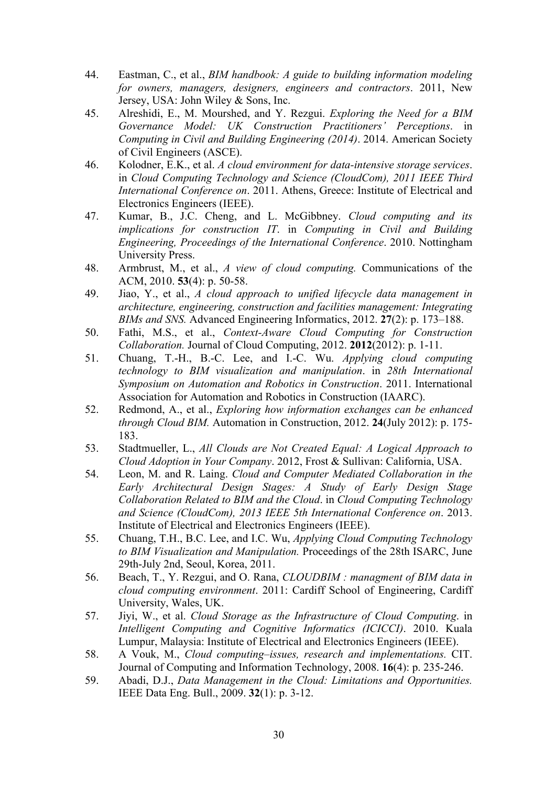- 44. Eastman, C., et al., *BIM handbook: A guide to building information modeling for owners, managers, designers, engineers and contractors*. 2011, New Jersey, USA: John Wiley & Sons, Inc.
- 45. Alreshidi, E., M. Mourshed, and Y. Rezgui. *Exploring the Need for a BIM Governance Model: UK Construction Practitioners' Perceptions*. in *Computing in Civil and Building Engineering (2014)*. 2014. American Society of Civil Engineers (ASCE).
- 46. Kolodner, E.K., et al. *A cloud environment for data-intensive storage services*. in *Cloud Computing Technology and Science (CloudCom), 2011 IEEE Third International Conference on*. 2011. Athens, Greece: Institute of Electrical and Electronics Engineers (IEEE).
- 47. Kumar, B., J.C. Cheng, and L. McGibbney. *Cloud computing and its implications for construction IT*. in *Computing in Civil and Building Engineering, Proceedings of the International Conference*. 2010. Nottingham University Press.
- 48. Armbrust, M., et al., *A view of cloud computing.* Communications of the ACM, 2010. **53**(4): p. 50-58.
- 49. Jiao, Y., et al., *A cloud approach to unified lifecycle data management in architecture, engineering, construction and facilities management: Integrating BIMs and SNS.* Advanced Engineering Informatics, 2012. **27**(2): p. 173–188.
- 50. Fathi, M.S., et al., *Context-Aware Cloud Computing for Construction Collaboration.* Journal of Cloud Computing, 2012. **2012**(2012): p. 1-11.
- 51. Chuang, T.-H., B.-C. Lee, and I.-C. Wu. *Applying cloud computing technology to BIM visualization and manipulation*. in *28th International Symposium on Automation and Robotics in Construction*. 2011. International Association for Automation and Robotics in Construction (IAARC).
- 52. Redmond, A., et al., *Exploring how information exchanges can be enhanced through Cloud BIM.* Automation in Construction, 2012. **24**(July 2012): p. 175- 183.
- 53. Stadtmueller, L., *All Clouds are Not Created Equal: A Logical Approach to Cloud Adoption in Your Company*. 2012, Frost & Sullivan: California, USA.
- 54. Leon, M. and R. Laing. *Cloud and Computer Mediated Collaboration in the Early Architectural Design Stages: A Study of Early Design Stage Collaboration Related to BIM and the Cloud*. in *Cloud Computing Technology and Science (CloudCom), 2013 IEEE 5th International Conference on*. 2013. Institute of Electrical and Electronics Engineers (IEEE).
- 55. Chuang, T.H., B.C. Lee, and I.C. Wu, *Applying Cloud Computing Technology to BIM Visualization and Manipulation.* Proceedings of the 28th ISARC, June 29th-July 2nd, Seoul, Korea, 2011.
- 56. Beach, T., Y. Rezgui, and O. Rana, *CLOUDBIM : managment of BIM data in cloud computing environment*. 2011: Cardiff School of Engineering, Cardiff University, Wales, UK.
- 57. Jiyi, W., et al. *Cloud Storage as the Infrastructure of Cloud Computing*. in *Intelligent Computing and Cognitive Informatics (ICICCI)*. 2010. Kuala Lumpur, Malaysia: Institute of Electrical and Electronics Engineers (IEEE).
- 58. A Vouk, M., *Cloud computing–issues, research and implementations.* CIT. Journal of Computing and Information Technology, 2008. **16**(4): p. 235-246.
- 59. Abadi, D.J., *Data Management in the Cloud: Limitations and Opportunities.* IEEE Data Eng. Bull., 2009. **32**(1): p. 3-12.